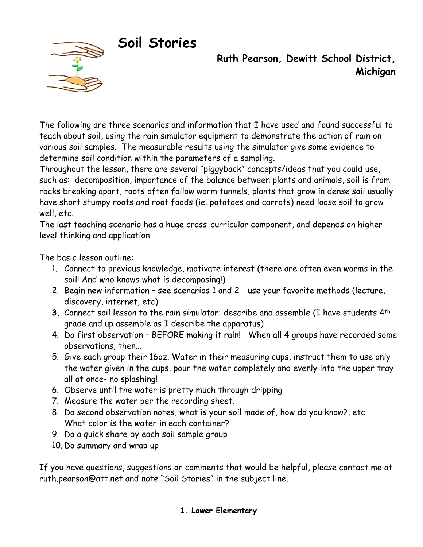# **Soil Stories**



 **Ruth Pearson, Dewitt School District, Michigan** 

The following are three scenarios and information that I have used and found successful to teach about soil, using the rain simulator equipment to demonstrate the action of rain on various soil samples. The measurable results using the simulator give some evidence to determine soil condition within the parameters of a sampling.

Throughout the lesson, there are several "piggyback" concepts/ideas that you could use, such as: decomposition, importance of the balance between plants and animals, soil is from rocks breaking apart, roots often follow worm tunnels, plants that grow in dense soil usually have short stumpy roots and root foods (ie. potatoes and carrots) need loose soil to grow well, etc.

The last teaching scenario has a huge cross-curricular component, and depends on higher level thinking and application.

The basic lesson outline:

- 1. Connect to previous knowledge, motivate interest (there are often even worms in the soil! And who knows what is decomposing!)
- 2. Begin new information see scenarios 1 and 2 use your favorite methods (lecture, discovery, internet, etc)
- **3.** Connect soil lesson to the rain simulator: describe and assemble (I have students 4th grade and up assemble as I describe the apparatus)
- 4. Do first observation BEFORE making it rain! When all 4 groups have recorded some observations, then...
- 5. Give each group their 16oz. Water in their measuring cups, instruct them to use only the water given in the cups, pour the water completely and evenly into the upper tray all at once- no splashing!
- 6. Observe until the water is pretty much through dripping
- 7. Measure the water per the recording sheet.
- 8. Do second observation notes, what is your soil made of, how do you know?, etc What color is the water in each container?
- 9. Do a quick share by each soil sample group
- 10. Do summary and wrap up

If you have questions, suggestions or comments that would be helpful, please contact me at [ruth.pearson@att.net](mailto:ruth.pearson@att.net) and note "Soil Stories" in the subject line.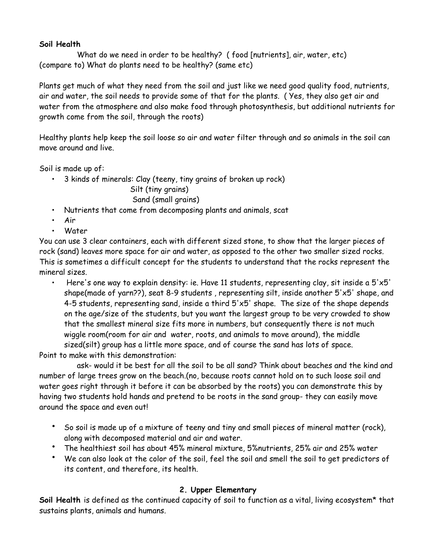#### **Soil Health**

 What do we need in order to be healthy? ( food [nutrients], air, water, etc) (compare to) What do plants need to be healthy? (same etc)

Plants get much of what they need from the soil and just like we need good quality food, nutrients, air and water, the soil needs to provide some of that for the plants. ( Yes, they also get air and water from the atmosphere and also make food through photosynthesis, but additional nutrients for growth come from the soil, through the roots)

Healthy plants help keep the soil loose so air and water filter through and so animals in the soil can move around and live.

Soil is made up of:

• 3 kinds of minerals: Clay (teeny, tiny grains of broken up rock)

 Silt (tiny grains) Sand (small grains)

- Nutrients that come from decomposing plants and animals, scat
- Air
- Water

You can use 3 clear containers, each with different sized stone, to show that the larger pieces of rock (sand) leaves more space for air and water, as opposed to the other two smaller sized rocks. This is sometimes a difficult concept for the students to understand that the rocks represent the mineral sizes.

• Here's one way to explain density: ie. Have 11 students, representing clay, sit inside a 5'x5' shape(made of yarn??), seat 8-9 students , representing silt, inside another 5'x5' shape, and 4-5 students, representing sand, inside a third 5'x5' shape. The size of the shape depends on the age/size of the students, but you want the largest group to be very crowded to show that the smallest mineral size fits more in numbers, but consequently there is not much wiggle room(room for air and water, roots, and animals to move around), the middle sized(silt) group has a little more space, and of course the sand has lots of space.

Point to make with this demonstration:

 ask- would it be best for all the soil to be all sand? Think about beaches and the kind and number of large trees grow on the beach.(no, because roots cannot hold on to such loose soil and water goes right through it before it can be absorbed by the roots) you can demonstrate this by having two students hold hands and pretend to be roots in the sand group- they can easily move around the space and even out!

- So soil is made up of a mixture of teeny and tiny and small pieces of mineral matter (rock), along with decomposed material and air and water.
- The healthiest soil has about 45% mineral mixture, 5%nutrients, 25% air and 25% water
- We can also look at the color of the soil, feel the soil and smell the soil to get predictors of its content, and therefore, its health.

## **2. Upper Elementary**

**Soil Health** is defined as the continued capacity of soil to function as a vital, living ecosystem\* that sustains plants, animals and humans.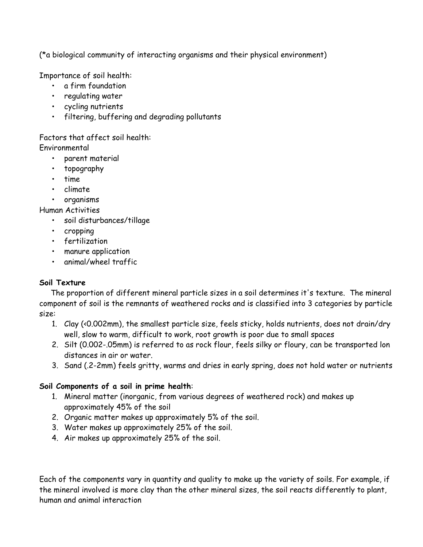(\*a biological community of interacting organisms and their physical environment)

Importance of soil health:

- a firm foundation
- regulating water
- cycling nutrients
- filtering, buffering and degrading pollutants

Factors that affect soil health: Environmental

- parent material
- topography
- time
- climate
- organisms

Human Activities

- soil disturbances/tillage
- cropping
- fertilization
- manure application
- animal/wheel traffic

## **Soil Texture**

 The proportion of different mineral particle sizes in a soil determines it's texture. The mineral component of soil is the remnants of weathered rocks and is classified into 3 categories by particle size:

- 1. Clay (<0.002mm), the smallest particle size, feels sticky, holds nutrients, does not drain/dry well, slow to warm, difficult to work, root growth is poor due to small spaces
- 2. Silt (0.002-.05mm) is referred to as rock flour, feels silky or floury, can be transported lon distances in air or water.
- 3. Sand (.2-2mm) feels gritty, warms and dries in early spring, does not hold water or nutrients

## **Soil Components of a soil in prime health**:

- 1. Mineral matter (inorganic, from various degrees of weathered rock) and makes up approximately 45% of the soil
- 2. Organic matter makes up approximately 5% of the soil.
- 3. Water makes up approximately 25% of the soil.
- 4. Air makes up approximately 25% of the soil.

Each of the components vary in quantity and quality to make up the variety of soils. For example, if the mineral involved is more clay than the other mineral sizes, the soil reacts differently to plant, human and animal interaction